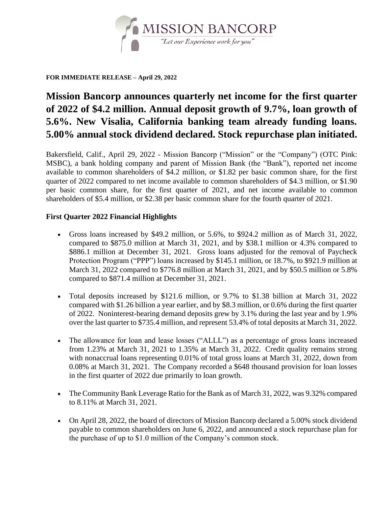

#### **FOR IMMEDIATE RELEASE – April 29, 2022**

# **Mission Bancorp announces quarterly net income for the first quarter of 2022 of \$4.2 million. Annual deposit growth of 9.7%, loan growth of 5.6%. New Visalia, California banking team already funding loans. 5.00% annual stock dividend declared. Stock repurchase plan initiated.**

Bakersfield, Calif., April 29, 2022 - Mission Bancorp ("Mission" or the "Company") (OTC Pink: MSBC), a bank holding company and parent of Mission Bank (the "Bank"), reported net income available to common shareholders of \$4.2 million, or \$1.82 per basic common share, for the first quarter of 2022 compared to net income available to common shareholders of \$4.3 million, or \$1.90 per basic common share, for the first quarter of 2021, and net income available to common shareholders of \$5.4 million, or \$2.38 per basic common share for the fourth quarter of 2021.

### **First Quarter 2022 Financial Highlights**

- Gross loans increased by \$49.2 million, or 5.6%, to \$924.2 million as of March 31, 2022, compared to \$875.0 million at March 31, 2021, and by \$38.1 million or 4.3% compared to \$886.1 million at December 31, 2021. Gross loans adjusted for the removal of Paycheck Protection Program ("PPP") loans increased by \$145.1 million, or 18.7%, to \$921.9 million at March 31, 2022 compared to \$776.8 million at March 31, 2021, and by \$50.5 million or 5.8% compared to \$871.4 million at December 31, 2021.
- Total deposits increased by \$121.6 million, or 9.7% to \$1.38 billion at March 31, 2022 compared with \$1.26 billion a year earlier, and by \$8.3 million, or 0.6% during the first quarter of 2022. Noninterest-bearing demand deposits grew by 3.1% during the last year and by 1.9% over the last quarter to \$735.4 million, and represent 53.4% of total deposits at March 31, 2022.
- • The allowance for loan and lease losses ("ALLL") as a percentage of gross loans increased from 1.23% at March 31, 2021 to 1.35% at March 31, 2022. Credit quality remains strong with nonaccrual loans representing 0.01% of total gross loans at March 31, 2022, down from 0.08% at March 31, 2021. The Company recorded a \$648 thousand provision for loan losses in the first quarter of 2022 due primarily to loan growth.
- The Community Bank Leverage Ratio for the Bank as of March 31, 2022, was 9.32% compared to 8.11% at March 31, 2021.
- On April 28, 2022, the board of directors of Mission Bancorp declared a 5.00% stock dividend payable to common shareholders on June 6, 2022, and announced a stock repurchase plan for the purchase of up to \$1.0 million of the Company's common stock.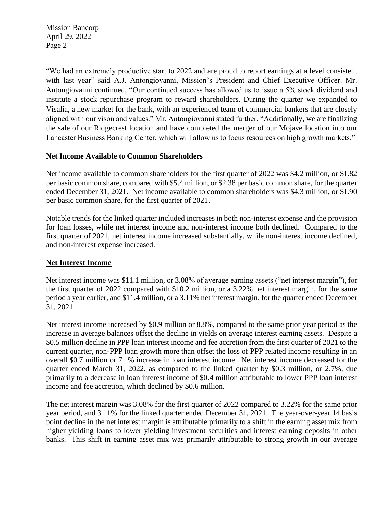"We had an extremely productive start to 2022 and are proud to report earnings at a level consistent with last year" said A.J. Antongiovanni, Mission's President and Chief Executive Officer. Mr. Antongiovanni continued, "Our continued success has allowed us to issue a 5% stock dividend and aligned with our vison and values." Mr. Antongiovanni stated further, "Additionally, we are finalizing institute a stock repurchase program to reward shareholders. During the quarter we expanded to Visalia, a new market for the bank, with an experienced team of commercial bankers that are closely the sale of our Ridgecrest location and have completed the merger of our Mojave location into our Lancaster Business Banking Center, which will allow us to focus resources on high growth markets."

#### **Net Income Available to Common Shareholders**

Net income available to common shareholders for the first quarter of 2022 was \$4.2 million, or \$1.82 per basic common share, compared with \$5.4 million, or \$2.38 per basic common share, for the quarter ended December 31, 2021. Net income available to common shareholders was \$4.3 million, or \$1.90 per basic common share, for the first quarter of 2021.

Notable trends for the linked quarter included increases in both non-interest expense and the provision for loan losses, while net interest income and non-interest income both declined. Compared to the first quarter of 2021, net interest income increased substantially, while non-interest income declined, and non-interest expense increased.

### **Net Interest Income**

 Net interest income was \$11.1 million, or 3.08% of average earning assets ("net interest margin"), for the first quarter of 2022 compared with \$10.2 million, or a 3.22% net interest margin, for the same period a year earlier, and \$11.4 million, or a 3.11% net interest margin, for the quarter ended December 31, 2021.

Net interest income increased by \$0.9 million or 8.8%, compared to the same prior year period as the increase in average balances offset the decline in yields on average interest earning assets. Despite a \$0.5 million decline in PPP loan interest income and fee accretion from the first quarter of 2021 to the current quarter, non-PPP loan growth more than offset the loss of PPP related income resulting in an overall \$0.7 million or 7.1% increase in loan interest income. Net interest income decreased for the quarter ended March 31, 2022, as compared to the linked quarter by \$0.3 million, or 2.7%, due primarily to a decrease in loan interest income of \$0.4 million attributable to lower PPP loan interest income and fee accretion, which declined by \$0.6 million.

The net interest margin was 3.08% for the first quarter of 2022 compared to 3.22% for the same prior year period, and 3.11% for the linked quarter ended December 31, 2021. The year-over-year 14 basis point decline in the net interest margin is attributable primarily to a shift in the earning asset mix from higher yielding loans to lower yielding investment securities and interest earning deposits in other banks. This shift in earning asset mix was primarily attributable to strong growth in our average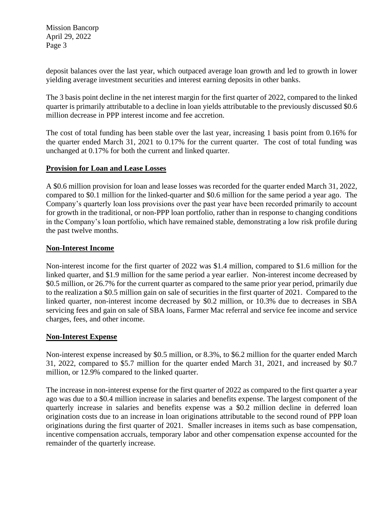deposit balances over the last year, which outpaced average loan growth and led to growth in lower yielding average investment securities and interest earning deposits in other banks.

The 3 basis point decline in the net interest margin for the first quarter of 2022, compared to the linked quarter is primarily attributable to a decline in loan yields attributable to the previously discussed \$0.6 million decrease in PPP interest income and fee accretion.

The cost of total funding has been stable over the last year, increasing 1 basis point from 0.16% for the quarter ended March 31, 2021 to 0.17% for the current quarter. The cost of total funding was unchanged at 0.17% for both the current and linked quarter.

#### **Provision for Loan and Lease Losses**

 Company's quarterly loan loss provisions over the past year have been recorded primarily to account A \$0.6 million provision for loan and lease losses was recorded for the quarter ended March 31, 2022, compared to \$0.1 million for the linked-quarter and \$0.6 million for the same period a year ago. The for growth in the traditional, or non-PPP loan portfolio, rather than in response to changing conditions in the Company's loan portfolio, which have remained stable, demonstrating a low risk profile during the past twelve months.

#### **Non-Interest Income**

Non-interest income for the first quarter of 2022 was \$1.4 million, compared to \$1.6 million for the linked quarter, and \$1.9 million for the same period a year earlier. Non-interest income decreased by \$0.5 million, or 26.7% for the current quarter as compared to the same prior year period, primarily due to the realization a \$0.5 million gain on sale of securities in the first quarter of 2021. Compared to the linked quarter, non-interest income decreased by \$0.2 million, or 10.3% due to decreases in SBA servicing fees and gain on sale of SBA loans, Farmer Mac referral and service fee income and service charges, fees, and other income.

#### **Non-Interest Expense**

Non-interest expense increased by \$0.5 million, or 8.3%, to \$6.2 million for the quarter ended March 31, 2022, compared to \$5.7 million for the quarter ended March 31, 2021, and increased by \$0.7 million, or 12.9% compared to the linked quarter.

The increase in non-interest expense for the first quarter of 2022 as compared to the first quarter a year ago was due to a \$0.4 million increase in salaries and benefits expense. The largest component of the quarterly increase in salaries and benefits expense was a \$0.2 million decline in deferred loan origination costs due to an increase in loan originations attributable to the second round of PPP loan originations during the first quarter of 2021. Smaller increases in items such as base compensation, incentive compensation accruals, temporary labor and other compensation expense accounted for the remainder of the quarterly increase.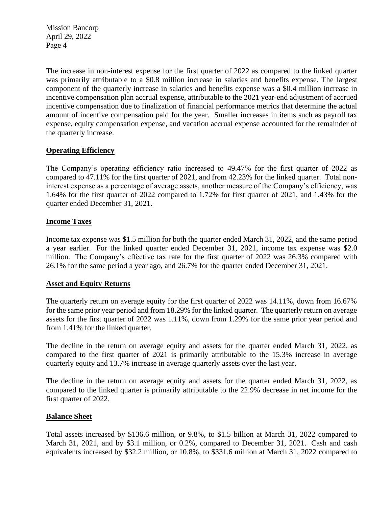The increase in non-interest expense for the first quarter of 2022 as compared to the linked quarter was primarily attributable to a \$0.8 million increase in salaries and benefits expense. The largest component of the quarterly increase in salaries and benefits expense was a \$0.4 million increase in incentive compensation plan accrual expense, attributable to the 2021 year-end adjustment of accrued incentive compensation due to finalization of financial performance metrics that determine the actual amount of incentive compensation paid for the year. Smaller increases in items such as payroll tax expense, equity compensation expense, and vacation accrual expense accounted for the remainder of the quarterly increase.

#### **Operating Efficiency**

 interest expense as a percentage of average assets, another measure of the Company's efficiency, was The Company's operating efficiency ratio increased to 49.47% for the first quarter of 2022 as compared to 47.11% for the first quarter of 2021, and from 42.23% for the linked quarter. Total non-1.64% for the first quarter of 2022 compared to 1.72% for first quarter of 2021, and 1.43% for the quarter ended December 31, 2021.

#### **Income Taxes**

 million. The Company's effective tax rate for the first quarter of 2022 was 26.3% compared with Income tax expense was \$1.5 million for both the quarter ended March 31, 2022, and the same period a year earlier. For the linked quarter ended December 31, 2021, income tax expense was \$2.0 26.1% for the same period a year ago, and 26.7% for the quarter ended December 31, 2021.

#### **Asset and Equity Returns**

The quarterly return on average equity for the first quarter of 2022 was 14.11%, down from 16.67% for the same prior year period and from 18.29% for the linked quarter. The quarterly return on average assets for the first quarter of 2022 was 1.11%, down from 1.29% for the same prior year period and from 1.41% for the linked quarter.

The decline in the return on average equity and assets for the quarter ended March 31, 2022, as compared to the first quarter of 2021 is primarily attributable to the 15.3% increase in average quarterly equity and 13.7% increase in average quarterly assets over the last year.

The decline in the return on average equity and assets for the quarter ended March 31, 2022, as compared to the linked quarter is primarily attributable to the 22.9% decrease in net income for the first quarter of 2022.

#### **Balance Sheet**

Total assets increased by \$136.6 million, or 9.8%, to \$1.5 billion at March 31, 2022 compared to March 31, 2021, and by \$3.1 million, or 0.2%, compared to December 31, 2021. Cash and cash equivalents increased by \$32.2 million, or 10.8%, to \$331.6 million at March 31, 2022 compared to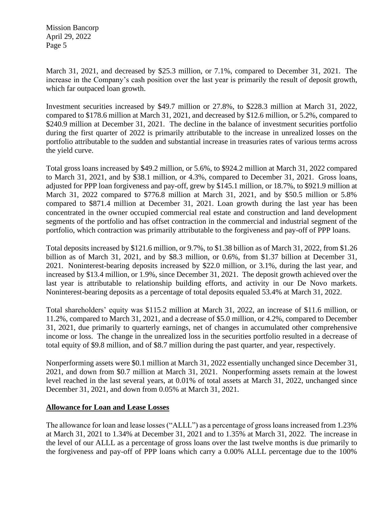increase in the Company's cash position over the last year is primarily the result of deposit growth, March 31, 2021, and decreased by \$25.3 million, or 7.1%, compared to December 31, 2021. The which far outpaced loan growth.

Investment securities increased by \$49.7 million or 27.8%, to \$228.3 million at March 31, 2022, compared to \$178.6 million at March 31, 2021, and decreased by \$12.6 million, or 5.2%, compared to \$240.9 million at December 31, 2021. The decline in the balance of investment securities portfolio during the first quarter of 2022 is primarily attributable to the increase in unrealized losses on the portfolio attributable to the sudden and substantial increase in treasuries rates of various terms across the yield curve.

Total gross loans increased by \$49.2 million, or 5.6%, to \$924.2 million at March 31, 2022 compared to March 31, 2021, and by \$38.1 million, or 4.3%, compared to December 31, 2021. Gross loans, adjusted for PPP loan forgiveness and pay-off, grew by \$145.1 million, or 18.7%, to \$921.9 million at March 31, 2022 compared to \$776.8 million at March 31, 2021, and by \$50.5 million or 5.8% compared to \$871.4 million at December 31, 2021. Loan growth during the last year has been concentrated in the owner occupied commercial real estate and construction and land development segments of the portfolio and has offset contraction in the commercial and industrial segment of the portfolio, which contraction was primarily attributable to the forgiveness and pay-off of PPP loans.

Total deposits increased by \$121.6 million, or 9.7%, to \$1.38 billion as of March 31, 2022, from \$1.26 billion as of March 31, 2021, and by \$8.3 million, or 0.6%, from \$1.37 billion at December 31, 2021. Noninterest-bearing deposits increased by \$22.0 million, or 3.1%, during the last year, and increased by \$13.4 million, or 1.9%, since December 31, 2021. The deposit growth achieved over the last year is attributable to relationship building efforts, and activity in our De Novo markets. Noninterest-bearing deposits as a percentage of total deposits equaled 53.4% at March 31, 2022.

Total shareholders' equity was \$115.2 million at March 31, 2022, an increase of \$11.6 million, or 11.2%, compared to March 31, 2021, and a decrease of \$5.0 million, or 4.2%, compared to December 31, 2021, due primarily to quarterly earnings, net of changes in accumulated other comprehensive income or loss. The change in the unrealized loss in the securities portfolio resulted in a decrease of total equity of \$9.8 million, and of \$8.7 million during the past quarter, and year, respectively.

Nonperforming assets were \$0.1 million at March 31, 2022 essentially unchanged since December 31, 2021, and down from \$0.7 million at March 31, 2021. Nonperforming assets remain at the lowest level reached in the last several years, at 0.01% of total assets at March 31, 2022, unchanged since December 31, 2021, and down from 0.05% at March 31, 2021.

#### **Allowance for Loan and Lease Losses**

 The allowance for loan and lease losses ("ALLL") as a percentage of gross loans increased from 1.23% at March 31, 2021 to 1.34% at December 31, 2021 and to 1.35% at March 31, 2022. The increase in the level of our ALLL as a percentage of gross loans over the last twelve months is due primarily to the forgiveness and pay-off of PPP loans which carry a 0.00% ALLL percentage due to the 100%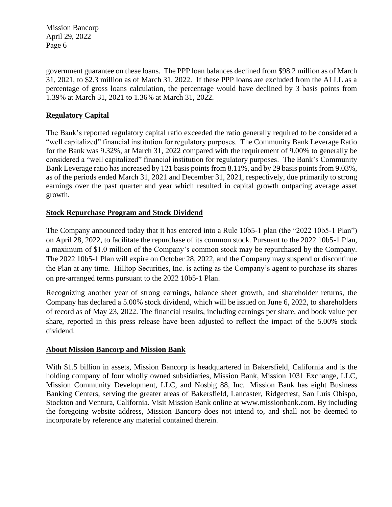government guarantee on these loans. The PPP loan balances declined from \$98.2 million as of March 31, 2021, to \$2.3 million as of March 31, 2022. If these PPP loans are excluded from the ALLL as a percentage of gross loans calculation, the percentage would have declined by 3 basis points from 1.39% at March 31, 2021 to 1.36% at March 31, 2022.

### **Regulatory Capital**

 "well capitalized" financial institution for regulatory purposes. The Community Bank Leverage Ratio The Bank's reported regulatory capital ratio exceeded the ratio generally required to be considered a for the Bank was 9.32%, at March 31, 2022 compared with the requirement of 9.00% to generally be considered a "well capitalized" financial institution for regulatory purposes. The Bank's Community Bank Leverage ratio has increased by 121 basis points from 8.11%, and by 29 basis points from 9.03%, as of the periods ended March 31, 2021 and December 31, 2021, respectively, due primarily to strong earnings over the past quarter and year which resulted in capital growth outpacing average asset growth.

#### **Stock Repurchase Program and Stock Dividend**

 a maximum of \$1.0 million of the Company's common stock may be repurchased by the Company. The Company announced today that it has entered into a Rule 10b5-1 plan (the "2022 10b5-1 Plan") on April 28, 2022, to facilitate the repurchase of its common stock. Pursuant to the 2022 10b5-1 Plan, The 2022 10b5-1 Plan will expire on October 28, 2022, and the Company may suspend or discontinue the Plan at any time. Hilltop Securities, Inc. is acting as the Company's agent to purchase its shares on pre-arranged terms pursuant to the 2022 10b5-1 Plan.

Recognizing another year of strong earnings, balance sheet growth, and shareholder returns, the Company has declared a 5.00% stock dividend, which will be issued on June 6, 2022, to shareholders of record as of May 23, 2022. The financial results, including earnings per share, and book value per share, reported in this press release have been adjusted to reflect the impact of the 5.00% stock dividend.

#### **About Mission Bancorp and Mission Bank**

With \$1.5 billion in assets, Mission Bancorp is headquartered in Bakersfield, California and is the holding company of four wholly owned subsidiaries, Mission Bank, Mission 1031 Exchange, LLC, Mission Community Development, LLC, and Nosbig 88, Inc. Mission Bank has eight Business Banking Centers, serving the greater areas of Bakersfield, Lancaster, Ridgecrest, San Luis Obispo, Stockton and Ventura, California. Visit Mission Bank online at <www.missionbank.com>. By including the foregoing website address, Mission Bancorp does not intend to, and shall not be deemed to incorporate by reference any material contained therein.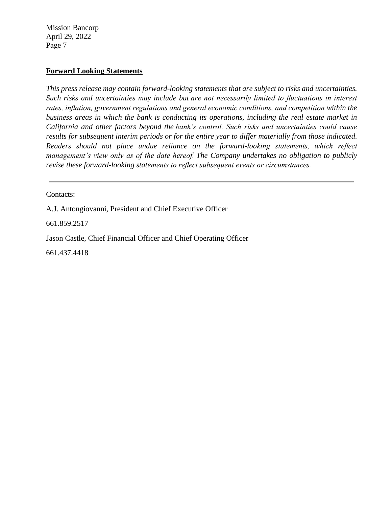#### **Forward Looking Statements**

 *management's view only as of the date hereof. The Company undertakes no obligation to publicly This press release may contain forward-looking statements that are subject to risks and uncertainties. Such risks and uncertainties may include but are not necessarily limited to fluctuations in interest rates, inflation, government regulations and general economic conditions, and competition within the business areas in which the bank is conducting its operations, including the real estate market in California and other factors beyond the bank's control. Such risks and uncertainties could cause results for subsequent interim periods or for the entire year to differ materially from those indicated. Readers should not place undue reliance on the forward-looking statements, which reflect revise these forward-looking statements to reflect subsequent events or circumstances.*

Contacts:

A.J. Antongiovanni, President and Chief Executive Officer

661.859.2517

Jason Castle, Chief Financial Officer and Chief Operating Officer

661.437.4418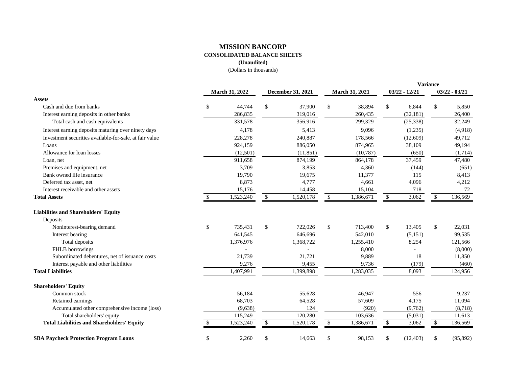### **MISSION BANCORP CONSOLIDATED BALANCE SHEETS**

**(Unaudited)** 

|                                                         | <b>March 31, 2022</b> |           |               |                          |               |                       |              |                 | <b>Variance</b> |           |
|---------------------------------------------------------|-----------------------|-----------|---------------|--------------------------|---------------|-----------------------|--------------|-----------------|-----------------|-----------|
|                                                         |                       |           |               | <b>December 31, 2021</b> |               | <b>March 31, 2021</b> |              | $03/22 - 12/21$ | $03/22 - 03/21$ |           |
| <b>Assets</b>                                           |                       |           |               |                          |               |                       |              |                 |                 |           |
| Cash and due from banks                                 | \$                    | 44,744    | $\mathbb{S}$  | 37,900                   | \$            | 38,894                | \$           | 6,844           | \$              | 5,850     |
| Interest earning deposits in other banks                |                       | 286,835   |               | 319,016                  |               | 260,435               |              | (32, 181)       |                 | 26,400    |
| Total cash and cash equivalents                         |                       | 331,578   |               | 356,916                  |               | 299,329               |              | (25, 338)       |                 | 32,249    |
| Interest earning deposits maturing over ninety days     |                       | 4,178     |               | 5,413                    |               | 9,096                 |              | (1,235)         |                 | (4,918)   |
| Investment securities available-for-sale, at fair value |                       | 228,278   |               | 240,887                  |               | 178,566               |              | (12,609)        |                 | 49,712    |
| Loans                                                   |                       | 924,159   |               | 886,050                  |               | 874,965               |              | 38,109          |                 | 49,194    |
| Allowance for loan losses                               |                       | (12,501)  |               | (11, 851)                |               | (10,787)              |              | (650)           |                 | (1,714)   |
| Loan, net                                               |                       | 911,658   |               | 874,199                  |               | 864,178               |              | 37,459          |                 | 47,480    |
| Premises and equipment, net                             |                       | 3,709     |               | 3,853                    |               | 4,360                 |              | (144)           |                 | (651)     |
| Bank owned life insurance                               |                       | 19,790    |               | 19,675                   |               | 11,377                |              | 115             |                 | 8,413     |
| Deferred tax asset, net                                 |                       | 8,873     |               | 4,777                    |               | 4,661                 |              | 4,096           |                 | 4,212     |
| Interest receivable and other assets                    |                       | 15,176    |               | 14,458                   |               | 15,104                |              | 718             |                 | 72        |
| <b>Total Assets</b>                                     | <sup>\$</sup>         | 1,523,240 | \$            | 1,520,178                | $\frac{1}{2}$ | 1,386,671             | $\mathbb{S}$ | 3,062           | \$              | 136,569   |
| <b>Liabilities and Shareholders' Equity</b>             |                       |           |               |                          |               |                       |              |                 |                 |           |
| Deposits                                                |                       |           |               |                          |               |                       |              |                 |                 |           |
| Noninterest-bearing demand                              | \$                    | 735,431   | \$            | 722,026                  | \$            | 713,400               | \$           | 13,405          | \$              | 22,031    |
| Interest bearing                                        |                       | 641,545   |               | 646,696                  |               | 542,010               |              | (5, 151)        |                 | 99,535    |
| Total deposits                                          |                       | 1,376,976 |               | 1,368,722                |               | 1,255,410             |              | 8,254           |                 | 121,566   |
| FHLB borrowings                                         |                       |           |               |                          |               | 8,000                 |              |                 |                 | (8,000)   |
| Subordinated debentures, net of issuance costs          |                       | 21,739    |               | 21,721                   |               | 9,889                 |              | 18              |                 | 11,850    |
| Interest payable and other liabilities                  |                       | 9,276     |               | 9,455                    |               | 9,736                 |              | (179)           |                 | (460)     |
| <b>Total Liabilities</b>                                |                       | 1,407,991 |               | 1,399,898                |               | 1,283,035             |              | 8,093           |                 | 124,956   |
| <b>Shareholders' Equity</b>                             |                       |           |               |                          |               |                       |              |                 |                 |           |
| Common stock                                            |                       | 56,184    |               | 55,628                   |               | 46,947                |              | 556             |                 | 9,237     |
| Retained earnings                                       |                       | 68,703    |               | 64,528                   |               | 57,609                |              | 4,175           |                 | 11,094    |
| Accumulated other comprehensive income (loss)           |                       | (9,638)   |               | 124                      |               | (920)                 |              | (9,762)         |                 | (8,718)   |
| Total shareholders' equity                              |                       | 115,249   |               | 120,280                  |               | 103,636               |              | (5,031)         |                 | 11,613    |
| <b>Total Liabilities and Shareholders' Equity</b>       | <sup>\$</sup>         | 1,523,240 | \$            | 1,520,178                | $\frac{1}{2}$ | 1,386,671             | \$           | 3,062           | \$              | 136,569   |
| <b>SBA Paycheck Protection Program Loans</b>            | \$                    | 2,260     | $\mathcal{S}$ | 14,663                   | \$            | 98,153                | \$           | (12, 403)       | \$              | (95, 892) |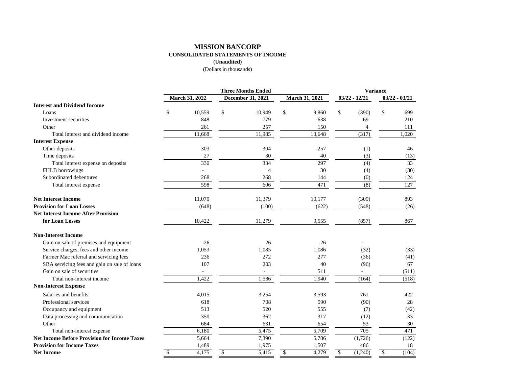#### **MISSION BANCORP CONSOLIDATED STATEMENTS OF INCOME (Unaudited)**

|                                                     | <b>Three Months Ended</b> |                       |    |                   |    |                |    | <b>Variance</b> |                 |       |  |  |  |
|-----------------------------------------------------|---------------------------|-----------------------|----|-------------------|----|----------------|----|-----------------|-----------------|-------|--|--|--|
|                                                     |                           | <b>March 31, 2022</b> |    | December 31, 2021 |    | March 31, 2021 |    | $03/22 - 12/21$ | $03/22 - 03/21$ |       |  |  |  |
| <b>Interest and Dividend Income</b>                 |                           |                       |    |                   |    |                |    |                 |                 |       |  |  |  |
| Loans                                               | \$                        | 10,559                | \$ | 10,949            | \$ | 9,860          | \$ | (390)           | \$              | 699   |  |  |  |
| Investment securities                               |                           | 848                   |    | 779               |    | 638            |    | 69              |                 | 210   |  |  |  |
| Other                                               |                           | 261                   |    | 257               |    | 150            |    | 4               |                 | 111   |  |  |  |
| Total interest and dividend income                  |                           | 11,668                |    | 11,985            |    | 10,648         |    | (317)           |                 | 1,020 |  |  |  |
| <b>Interest Expense</b>                             |                           |                       |    |                   |    |                |    |                 |                 |       |  |  |  |
| Other deposits                                      |                           | 303                   |    | 304               |    | 257            |    | (1)             |                 | 46    |  |  |  |
| Time deposits                                       |                           | 27                    |    | 30                |    | 40             |    | (3)             |                 | (13)  |  |  |  |
| Total interest expense on deposits                  |                           | 330                   |    | 334               |    | 297            |    | (4)             |                 | 33    |  |  |  |
| FHLB borrowings                                     |                           |                       |    | $\overline{4}$    |    | 30             |    | (4)             |                 | (30)  |  |  |  |
| Subordinated debentures                             |                           | 268                   |    | 268               |    | 144            |    | (0)             |                 | 124   |  |  |  |
| Total interest expense                              |                           | 598                   |    | 606               |    | 471            |    | (8)             |                 | 127   |  |  |  |
| <b>Net Interest Income</b>                          |                           | 11,070                |    | 11,379            |    | 10,177         |    | (309)           |                 | 893   |  |  |  |
| <b>Provision for Loan Losses</b>                    |                           | (648)                 |    | (100)             |    | (622)          |    | (548)           |                 | (26)  |  |  |  |
| <b>Net Interest Income After Provision</b>          |                           |                       |    |                   |    |                |    |                 |                 |       |  |  |  |
| for Loan Losses                                     |                           | 10,422                |    | 11,279            |    | 9,555          |    | (857)           |                 | 867   |  |  |  |
| <b>Non-Interest Income</b>                          |                           |                       |    |                   |    |                |    |                 |                 |       |  |  |  |
| Gain on sale of premises and equipment              |                           | 26                    |    | 26                |    | 26             |    |                 |                 |       |  |  |  |
| Service charges, fees and other income              |                           | 1,053                 |    | 1,085             |    | 1,086          |    | (32)            |                 | (33)  |  |  |  |
| Farmer Mac referral and servicing fees              |                           | 236                   |    | 272               |    | 277            |    | (36)            |                 | (41)  |  |  |  |
| SBA servicing fees and gain on sale of loans        |                           | 107                   |    | 203               |    | 40             |    | (96)            |                 | 67    |  |  |  |
| Gain on sale of securities                          |                           | $\sim$                |    |                   |    | 511            |    |                 |                 | (511) |  |  |  |
| Total non-interest income                           |                           | 1,422                 |    | 1,586             |    | 1,940          |    | (164)           |                 | (518) |  |  |  |
| <b>Non-Interest Expense</b>                         |                           |                       |    |                   |    |                |    |                 |                 |       |  |  |  |
| Salaries and benefits                               |                           | 4,015                 |    | 3,254             |    | 3,593          |    | 761             |                 | 422   |  |  |  |
| Professional services                               |                           | 618                   |    | 708               |    | 590            |    | (90)            |                 | 28    |  |  |  |
| Occupancy and equipment                             |                           | 513                   |    | 520               |    | 555            |    | (7)             |                 | (42)  |  |  |  |
| Data processing and communication                   |                           | 350                   |    | 362               |    | 317            |    | (12)            |                 | 33    |  |  |  |
| Other                                               |                           | 684                   |    | 631               |    | 654            |    | 53              |                 | 30    |  |  |  |
| Total non-interest expense                          |                           | 6,180                 |    | 5,475             |    | 5,709          |    | 705             |                 | 471   |  |  |  |
| <b>Net Income Before Provision for Income Taxes</b> |                           | 5,664                 |    | 7,390             |    | 5,786          |    | (1,726)         |                 | (122) |  |  |  |
| <b>Provision for Income Taxes</b>                   |                           | 1,489                 |    | 1,975             |    | 1,507          |    | 486             |                 | 18    |  |  |  |
| <b>Net Income</b>                                   | \$                        | 4,175                 | \$ | 5,415             | \$ | 4,279          | \$ | (1,240)         | \$              | (104) |  |  |  |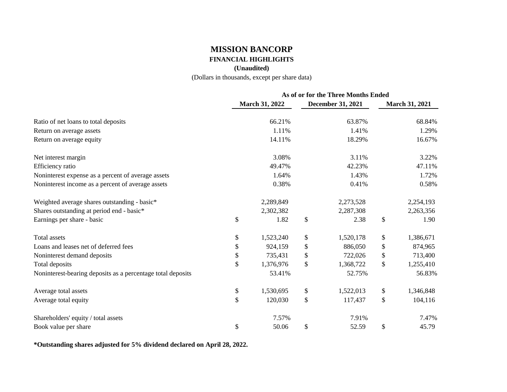## **MISSION BANCORP FINANCIAL HIGHLIGHTS**

### **(Unaudited)**

(Dollars in thousands, except per share data)

|                                                             | As of or for the Three Months Ended |                       |    |                   |    |                       |  |  |
|-------------------------------------------------------------|-------------------------------------|-----------------------|----|-------------------|----|-----------------------|--|--|
|                                                             |                                     | <b>March 31, 2022</b> |    | December 31, 2021 |    | <b>March 31, 2021</b> |  |  |
| Ratio of net loans to total deposits                        |                                     | 66.21%                |    | 63.87%            |    | 68.84%                |  |  |
| Return on average assets                                    |                                     | 1.11%                 |    | 1.41%             |    | 1.29%                 |  |  |
| Return on average equity                                    |                                     | 14.11%                |    | 18.29%            |    | 16.67%                |  |  |
| Net interest margin                                         |                                     | 3.08%                 |    | 3.11%             |    | 3.22%                 |  |  |
| Efficiency ratio                                            |                                     | 49.47%                |    | 42.23%            |    | 47.11%                |  |  |
| Noninterest expense as a percent of average assets          |                                     | 1.64%                 |    | 1.43%             |    | 1.72%                 |  |  |
| Noninterest income as a percent of average assets           |                                     | 0.38%                 |    | 0.41%             |    | 0.58%                 |  |  |
| Weighted average shares outstanding - basic*                |                                     | 2,289,849             |    | 2,273,528         |    | 2,254,193             |  |  |
| Shares outstanding at period end - basic*                   |                                     | 2,302,382             |    | 2,287,308         |    | 2,263,356             |  |  |
| Earnings per share - basic                                  | \$                                  | 1.82                  | \$ | 2.38              | \$ | 1.90                  |  |  |
| Total assets                                                | \$                                  | 1,523,240             | \$ | 1,520,178         | \$ | 1,386,671             |  |  |
| Loans and leases net of deferred fees                       | \$                                  | 924,159               | \$ | 886,050           | \$ | 874,965               |  |  |
| Noninterest demand deposits                                 | \$                                  | 735,431               | \$ | 722,026           | \$ | 713,400               |  |  |
| Total deposits                                              | \$                                  | 1,376,976             | \$ | 1,368,722         | \$ | 1,255,410             |  |  |
| Noninterest-bearing deposits as a percentage total deposits |                                     | 53.41%                |    | 52.75%            |    | 56.83%                |  |  |
| Average total assets                                        | \$                                  | 1,530,695             | \$ | 1,522,013         | \$ | 1,346,848             |  |  |
| Average total equity                                        | \$                                  | 120,030               | \$ | 117,437           | \$ | 104,116               |  |  |
| Shareholders' equity / total assets                         |                                     | 7.57%                 |    | 7.91%             |    | 7.47%                 |  |  |
| Book value per share                                        | \$                                  | 50.06                 | \$ | 52.59             | \$ | 45.79                 |  |  |

**\*Outstanding shares adjusted for 5% dividend declared on April 28, 2022.**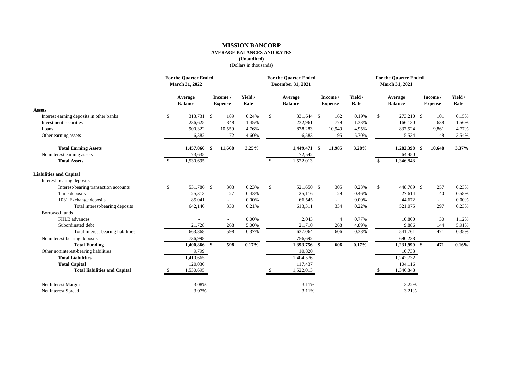#### **MISSION BANCORP**

#### **AVERAGE BALANCES AND RATES**

**(Unaudited)** 

|                                          | <b>For the Quarter Ended</b><br>March 31, 2022 |                           |      |                            |                 | <b>For the Quarter Ended</b><br>December 31, 2021 |                           |  |                            |                 | <b>For the Quarter Ended</b><br>March 31, 2021 |                           |     |                            |                 |  |
|------------------------------------------|------------------------------------------------|---------------------------|------|----------------------------|-----------------|---------------------------------------------------|---------------------------|--|----------------------------|-----------------|------------------------------------------------|---------------------------|-----|----------------------------|-----------------|--|
|                                          |                                                | Average<br><b>Balance</b> |      | Income /<br><b>Expense</b> | Yield /<br>Rate |                                                   | Average<br><b>Balance</b> |  | Income /<br><b>Expense</b> | Yield /<br>Rate |                                                | Average<br><b>Balance</b> |     | Income /<br><b>Expense</b> | Yield /<br>Rate |  |
| <b>Assets</b>                            |                                                |                           |      |                            |                 |                                                   |                           |  |                            |                 |                                                |                           |     |                            |                 |  |
| Interest earning deposits in other banks | \$                                             | 313,731 \$                |      | 189                        | 0.24%           | $\mathbb{S}$                                      | 331,644 \$                |  | 162                        | 0.19%           | \$                                             | 273,210 \$                |     | 101                        | 0.15%           |  |
| Investment securities                    |                                                | 236.625                   |      | 848                        | 1.45%           |                                                   | 232,961                   |  | 779                        | 1.33%           |                                                | 166,130                   |     | 638                        | 1.56%           |  |
| Loans                                    |                                                | 900,322                   |      | 10,559                     | 4.76%           |                                                   | 878,283                   |  | 10,949                     | 4.95%           |                                                | 837,524                   |     | 9,861                      | 4.77%           |  |
| Other earning assets                     |                                                | 6,382                     |      | 72                         | 4.60%           |                                                   | 6,583                     |  | 95                         | 5.70%           |                                                | 5,534                     |     | 48                         | 3.54%           |  |
| <b>Total Earning Assets</b>              |                                                | 1,457,060                 | - \$ | 11,668                     | 3.25%           |                                                   | 1,449,471 \$              |  | 11,985                     | 3.28%           |                                                | 1,282,398                 | -\$ | 10,648                     | 3.37%           |  |
| Noninterest earning assets               |                                                | 73,635                    |      |                            |                 |                                                   | 72,542                    |  |                            |                 |                                                | 64,450                    |     |                            |                 |  |
| <b>Total Assets</b>                      | \$                                             | 1,530,695                 |      |                            |                 |                                                   | 1,522,013                 |  |                            |                 | \$                                             | 1,346,848                 |     |                            |                 |  |
| <b>Liabilities and Capital</b>           |                                                |                           |      |                            |                 |                                                   |                           |  |                            |                 |                                                |                           |     |                            |                 |  |
| Interest-bearing deposits                |                                                |                           |      |                            |                 |                                                   |                           |  |                            |                 |                                                |                           |     |                            |                 |  |
| Interest-bearing transaction accounts    | \$                                             | 531,786 \$                |      | 303                        | 0.23%           | $\mathbb{S}$                                      | 521,650 \$                |  | 305                        | 0.23%           | $\mathbf{s}$                                   | 448,789 \$                |     | 257                        | 0.23%           |  |
| Time deposits                            |                                                | 25,313                    |      | 27                         | 0.43%           |                                                   | 25,116                    |  | 29                         | 0.46%           |                                                | 27,614                    |     | 40                         | 0.58%           |  |
| 1031 Exchange deposits                   |                                                | 85,041                    |      | $\sim$                     | 0.00%           |                                                   | 66,545                    |  | $\overline{\phantom{a}}$   | 0.00%           |                                                | 44,672                    |     | $\sim$                     | 0.00%           |  |
| Total interest-bearing deposits          |                                                | 642,140                   |      | 330                        | 0.21%           |                                                   | 613,311                   |  | 334                        | 0.22%           |                                                | 521,075                   |     | 297                        | 0.23%           |  |
| <b>Borrowed</b> funds                    |                                                |                           |      |                            |                 |                                                   |                           |  |                            |                 |                                                |                           |     |                            |                 |  |
| FHLB advances                            |                                                |                           |      | $\blacksquare$             | 0.00%           |                                                   | 2,043                     |  | $\overline{4}$             | 0.77%           |                                                | 10,800                    |     | 30                         | 1.12%           |  |
| Subordinated debt                        |                                                | 21,728                    |      | 268                        | 5.00%           |                                                   | 21,710                    |  | 268                        | 4.89%           |                                                | 9,886                     |     | 144                        | 5.91%           |  |
| Total interest-bearing liabilities       |                                                | 663,868                   |      | 598                        | 0.37%           |                                                   | 637,064                   |  | 606                        | 0.38%           |                                                | 541,761                   |     | 471                        | 0.35%           |  |
| Noninterest-bearing deposits             |                                                | 736,998                   |      |                            |                 |                                                   | 756,692                   |  |                            |                 |                                                | 690,238                   |     |                            |                 |  |
| <b>Total Funding</b>                     |                                                | 1,400,866 \$              |      | 598                        | 0.17%           |                                                   | 1,393,756 \$              |  | 606                        | 0.17%           |                                                | 1,231,999 \$              |     | 471                        | 0.16%           |  |
| Other noninterest-bearing liabilities    |                                                | 9,799                     |      |                            |                 |                                                   | 10,820                    |  |                            |                 |                                                | 10,733                    |     |                            |                 |  |
| <b>Total Liabilities</b>                 |                                                | 1,410,665                 |      |                            |                 |                                                   | 1,404,576                 |  |                            |                 |                                                | 1,242,732                 |     |                            |                 |  |
| <b>Total Capital</b>                     |                                                | 120,030                   |      |                            |                 |                                                   | 117,437                   |  |                            |                 |                                                | 104,116                   |     |                            |                 |  |
| <b>Total liabilities and Capital</b>     | \$                                             | 1,530,695                 |      |                            |                 | \$.                                               | 1,522,013                 |  |                            |                 | $\mathcal{S}$                                  | 1,346,848                 |     |                            |                 |  |
| Net Interest Margin                      |                                                | 3.08%                     |      |                            |                 |                                                   | 3.11%                     |  |                            |                 |                                                | 3.22%                     |     |                            |                 |  |
| Net Interest Spread                      |                                                | 3.07%                     |      |                            |                 |                                                   | 3.11%                     |  |                            |                 |                                                | 3.21%                     |     |                            |                 |  |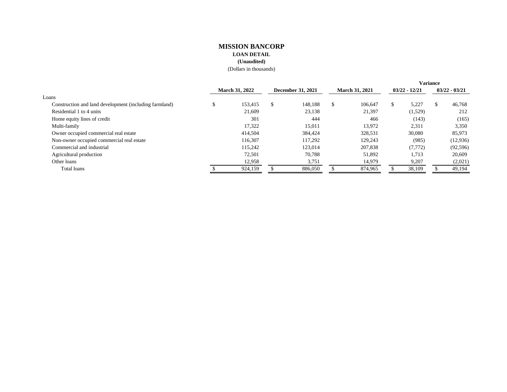#### **MISSION BANCORP LOAN DETAIL (Unaudited)**  (Dollars in thousands)

|                                                        |                       |         |                          |         |                       |         |                 | <b>Variance</b> |                 |
|--------------------------------------------------------|-----------------------|---------|--------------------------|---------|-----------------------|---------|-----------------|-----------------|-----------------|
|                                                        | <b>March 31, 2022</b> |         | <b>December 31, 2021</b> |         | <b>March 31, 2021</b> |         | $03/22 - 12/21$ |                 | $03/22 - 03/21$ |
| Loans                                                  |                       |         |                          |         |                       |         |                 |                 |                 |
| Construction and land development (including farmland) |                       | 153.415 | -S                       | 148.188 | <sup>\$</sup>         | 106,647 | \$.             | 5.227           | 46,768          |
| Residential 1 to 4 units                               |                       | 21,609  |                          | 23,138  |                       | 21,397  |                 | (1,529)         | 212             |
| Home equity lines of credit                            |                       | 301     |                          | 444     |                       | 466     |                 | (143)           | (165)           |
| Multi-family                                           |                       | 17,322  |                          | 15,011  |                       | 13,972  |                 | 2,311           | 3,350           |
| Owner occupied commercial real estate                  |                       | 414,504 |                          | 384,424 |                       | 328,531 |                 | 30,080          | 85,973          |
| Non-owner occupied commercial real estate              |                       | 116.307 |                          | 117.292 |                       | 129,243 |                 | (985)           | (12,936)        |
| Commercial and industrial                              |                       | 115.242 |                          | 123,014 |                       | 207,838 |                 | (7,772)         | (92, 596)       |
| Agricultural production                                |                       | 72,501  |                          | 70,788  |                       | 51,892  |                 | 1,713           | 20,609          |
| Other loans                                            |                       | 12,958  |                          | 3,751   |                       | 14,979  |                 | 9,207           | (2,021)         |
| Total loans                                            |                       | 924,159 |                          | 886,050 |                       | 874,965 |                 | 38,109          | 49,194          |